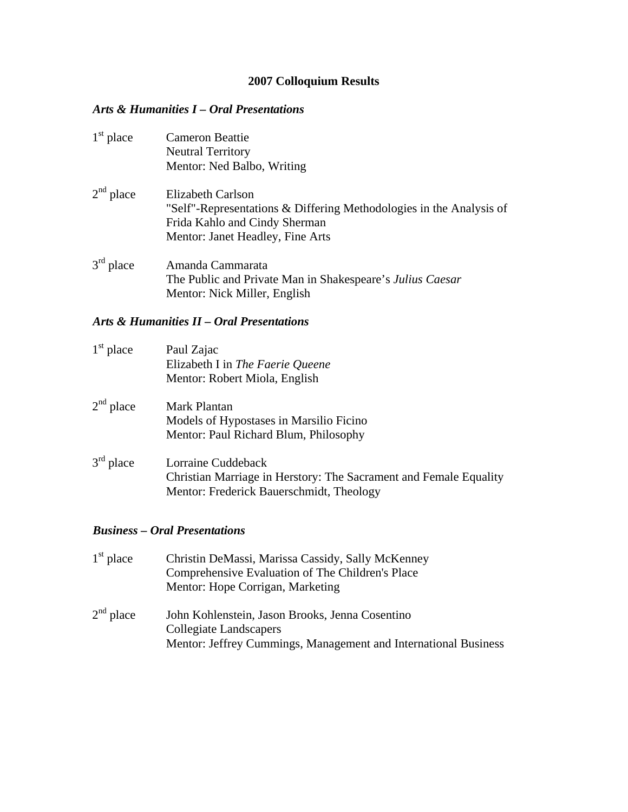# **2007 Colloquium Results**

### *Arts & Humanities I – Oral Presentations*

| $1st$ place | <b>Cameron Beattie</b><br><b>Neutral Territory</b><br>Mentor: Ned Balbo, Writing                                                                              |
|-------------|---------------------------------------------------------------------------------------------------------------------------------------------------------------|
| $2nd$ place | Elizabeth Carlson<br>"Self"-Representations & Differing Methodologies in the Analysis of<br>Frida Kahlo and Cindy Sherman<br>Mentor: Janet Headley, Fine Arts |
| $3rd$ place | Amanda Cammarata<br>The Public and Private Man in Shakespeare's Julius Caesar<br>Mentor: Nick Miller, English                                                 |

#### *Arts & Humanities II – Oral Presentations*

| $1st$ place | Paul Zajac<br>Elizabeth I in The Faerie Queene<br>Mentor: Robert Miola, English                                                     |
|-------------|-------------------------------------------------------------------------------------------------------------------------------------|
| $2nd$ place | Mark Plantan<br>Models of Hypostases in Marsilio Ficino<br>Mentor: Paul Richard Blum, Philosophy                                    |
| $3rd$ place | Lorraine Cuddeback<br>Christian Marriage in Herstory: The Sacrament and Female Equality<br>Mentor: Frederick Bauerschmidt, Theology |

#### *Business – Oral Presentations*

| $1st$ place    | Christin DeMassi, Marissa Cassidy, Sally McKenney<br>Comprehensive Evaluation of The Children's Place<br>Mentor: Hope Corrigan, Marketing    |
|----------------|----------------------------------------------------------------------------------------------------------------------------------------------|
| $2^{nd}$ place | John Kohlenstein, Jason Brooks, Jenna Cosentino<br>Collegiate Landscapers<br>Mentor: Jeffrey Cummings, Management and International Business |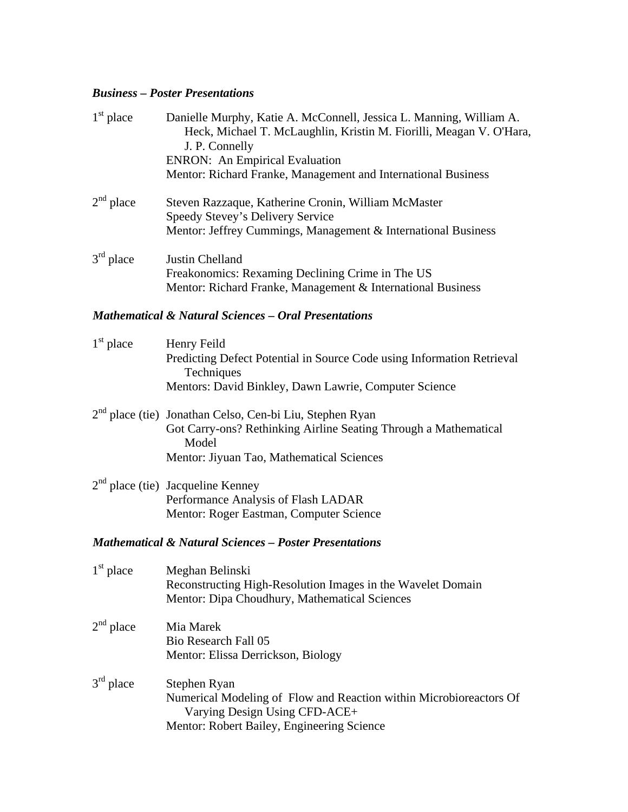### *Business – Poster Presentations*

| $1st$ place        | Danielle Murphy, Katie A. McConnell, Jessica L. Manning, William A.<br>Heck, Michael T. McLaughlin, Kristin M. Fiorilli, Meagan V. O'Hara,<br>J. P. Connelly<br><b>ENRON:</b> An Empirical Evaluation<br>Mentor: Richard Franke, Management and International Business |
|--------------------|------------------------------------------------------------------------------------------------------------------------------------------------------------------------------------------------------------------------------------------------------------------------|
| $2nd$ place        | Steven Razzaque, Katherine Cronin, William McMaster<br>Speedy Stevey's Delivery Service<br>Mentor: Jeffrey Cummings, Management & International Business                                                                                                               |
| $3rd$ place        | Justin Chelland<br>Freakonomics: Rexaming Declining Crime in The US<br>Mentor: Richard Franke, Management & International Business                                                                                                                                     |
|                    | <b>Mathematical &amp; Natural Sciences - Oral Presentations</b>                                                                                                                                                                                                        |
| $1st$ place        | Henry Feild<br>Predicting Defect Potential in Source Code using Information Retrieval<br>Techniques<br>Mentors: David Binkley, Dawn Lawrie, Computer Science                                                                                                           |
|                    | 2 <sup>nd</sup> place (tie) Jonathan Celso, Cen-bi Liu, Stephen Ryan<br>Got Carry-ons? Rethinking Airline Seating Through a Mathematical<br>Model<br>Mentor: Jiyuan Tao, Mathematical Sciences                                                                         |
|                    | $2nd$ place (tie) Jacqueline Kenney<br>Performance Analysis of Flash LADAR<br>Mentor: Roger Eastman, Computer Science                                                                                                                                                  |
|                    | <b>Mathematical &amp; Natural Sciences - Poster Presentations</b>                                                                                                                                                                                                      |
| $1^{\rm st}$ place | Meghan Belinski<br>Reconstructing High-Resolution Images in the Wavelet Domain<br>Mentor: Dipa Choudhury, Mathematical Sciences                                                                                                                                        |
| $2nd$ place        | Mia Marek<br>Bio Research Fall 05<br>Mentor: Elissa Derrickson, Biology                                                                                                                                                                                                |
| $3rd$ place        | Stephen Ryan<br>Numerical Modeling of Flow and Reaction within Microbioreactors Of<br>Varying Design Using CFD-ACE+                                                                                                                                                    |

Mentor: Robert Bailey, Engineering Science